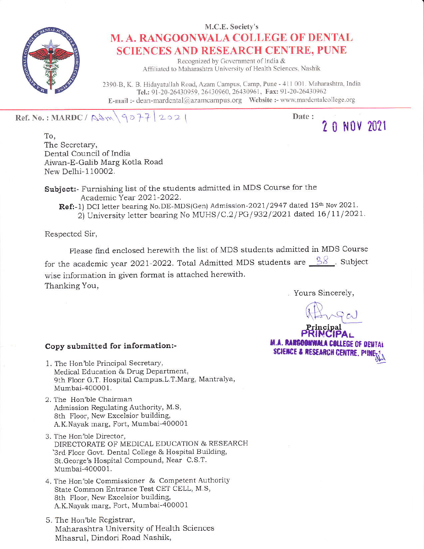

## M.C.E. Society's M. A, RANGOONWALA COLLEGE OF DENTAL SCIENCES AND RESEARCH CENTRE, PUNE

Recognized by Government of India & Affiliated to Maharashtra University of Health Sciences, Nashik

2390-B, K. B. Hidayatullah Road, Azam Campus, Camp, Pune - 411 001. Maharashtra, India Tel.: 91-20-26430959, 26430960, 26430961, Fax: 91-20-26430962 E-mail :- dean-mardental@azamcampus.org Website :- www.mardentalcollege.org

Ref. No.: MARDC/ $\beta\rightarrow\gamma$  |2021

Date:

2 0 NOV 2021

To, The Secretary. Dental Council of India Aiwan-E-Galib Marg Kotla Road New Delhi-110002.

Subject:- Furnishing list of the students admitted in MDS Course for the Academic Year 2021-2022.

Ref:-1) DCI letter bearing No.DE-MDS(Gen) Admission-2021/2947 dated 15<sup>th</sup> Nov 2021. 2) University letter bearing No MUHS/C.2/PG/932/2021 dated 16/11/2021.

Respected Sir,

Please find enclosed herewith the list of MDS students admitted in MDS Course for the academic year 2021-2022. Total Admitted MDS students are  $\frac{88}{11}$ . Subject wise information in given format is attached herewith. Thanking You,

Yours Sincerely,

Principal<br>PRINCIPAL **M.A. RANGOONWALA COLLEGE OF DENTAL** SCIENCE & RESEARCH CENTRE. P!!N

## Copy submitted for information:-

- 1. The Hon'b1e Principal Secretary, Medical Education & Drug Department, 9th Floor G.T. Hospital Campus.L.T.Marg, Mantralya, Mumbai-400001.
- 2. The Hon'ble Chairman Admission Regulating Authority, M.S, 8th F1oor, New Excelsior building, A.K.Nayak marg, Fort, Mumbai 400001
- 3. The Hon'b1e Director, DIRECTORATE OF MEDICAL EDUCATION & RESEARCH 3rd Floor Govt. Dental College & Hospital Building, St.George's Hospital Compound, Near C.S.T. Mumbai 400001.
- 4. The Hon'ble Commissioner & Competent Authority State Common Entrance Test CET CELL, M.S, 8th Floor. New Excelsior building, A.K.Nayal< marg, Fort, Mumbai-4o0001
- 5. The Hon'ble Registrar, Maharashtra University of Health Sciences Mhasrul, Dindori Road Nashik,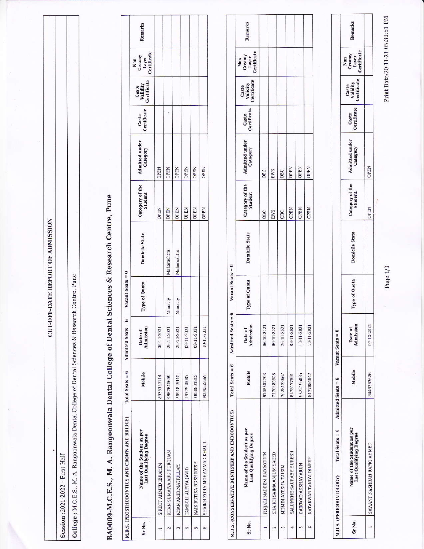Session :2021-2022 - First Half

College : M.C.E.S., M. A. Rangoonwala Dental College of Dental Sciences & Research Centre, Pune

**CUT-OFF-DATE REPORT OF ADMISSION** 

## BA0009-M.C.E.S., M. A. Rangoonwala Dental College of Dental Sciences & Research Centre, Pune

|                  | M.D.S. (PROSTHODONTICS AND CROWN AND BRIDGE)         | Total Seats = 6 | Admitted Seats =     | Vacant Seats = 0 |                       |                            |                            |                      |                                  |                                       |         |
|------------------|------------------------------------------------------|-----------------|----------------------|------------------|-----------------------|----------------------------|----------------------------|----------------------|----------------------------------|---------------------------------------|---------|
| Sr <sub>No</sub> | Name of the Student as per<br>Last Qualifying Degree | Mobile          | Admission<br>Date of | Type of Quota    | <b>Domicile State</b> | Category of the<br>Student | Admitted under<br>Category | Caste<br>Certificate | Caste<br>Validity<br>Certificate | Non<br>Creamy<br>Layer<br>Certificate | Remarks |
|                  | SIRKOT AHMED IBRAHIM                                 | 8975353114      | 06-10-2021           |                  |                       | <b>OPEN</b>                | <b>OPEN</b>                |                      |                                  |                                       |         |
|                  | KHAN SUMAIYA ABU FUROUAN                             | 9867640699      | 26-10-2021           | Minority         | Maharashtra           | OPEN                       | <b>OPEN</b>                |                      |                                  |                                       |         |
|                  | KHAN AMIR MATIULLAH                                  | 8691869115      | 26-10-2021           | Minority         | Maharashtra           | <b>OPEN</b>                | OPEN                       |                      |                                  |                                       |         |
|                  | TAMBOLI ALFIYA JAVID                                 | 7977560087      | 09-11-2021           |                  |                       | <b>OPEN</b>                | <b>OPEN</b>                |                      |                                  |                                       |         |
|                  | NAIK RUTIKA RUSHIKESH                                | 8850861813      | 09-11-2021           |                  |                       | <b>OPEN</b>                | <b>OPEN</b>                |                      |                                  |                                       |         |
|                  | SHAIKH ZOHA MOHAMMAD KHALIL                          | 9004335669      | 10-11-2021           |                  |                       | <b>OPEN</b>                | <b>OPEN</b>                |                      |                                  |                                       |         |

|        | M.D.S. (CONSERVATIVE DENTISTRY AND ENDODONTICS)      | $Total Sets = 6$ | 6<br>Admitted Seats = | Vacant Seats = 0 |                |                            |                            |       |                                  |                                                                                                    |         |
|--------|------------------------------------------------------|------------------|-----------------------|------------------|----------------|----------------------------|----------------------------|-------|----------------------------------|----------------------------------------------------------------------------------------------------|---------|
| Sr No. | Name of the Student as per<br>Last Qualifying Degree | Mobile           | Admission<br>Date of  | Type of Quota    | Domicile State | Category of the<br>Student | Admitted under<br>Category | Caste | Caste<br>Validity<br>Certificate | $\begin{array}{c}\n\text{Non} \\ \text{Creamy} \\ \text{Layer} \\ \text{Certificate}\n\end{array}$ | Remarks |
|        | PINJARI NADEEM BADRODDIN                             | 8208802796       | 06-10-2021            |                  |                | OBC                        | OBC                        |       |                                  |                                                                                                    |         |
|        | SHAIKH SAIMA ANJUM SAEED                             | 7276485958       | 06-10-2021            |                  |                | EWS                        | EWS                        |       |                                  |                                                                                                    |         |
|        | MOMIN AYESHA TAISIN                                  | 7028133667       | 26-10-2021            |                  |                | OBC                        | OBC                        |       |                                  |                                                                                                    |         |
|        | SALUNKHE SAURABH SURESH                              | 8275177991       | 08-11-2021            |                  |                | <b>OPEN</b>                | <b>OPEN</b>                |       |                                  |                                                                                                    |         |
|        | GAIKWAD AKSHAY ARUN                                  | 9822195885       | 10-11-2021            |                  |                | <b>OPEN</b>                | <b>OPEN</b>                |       |                                  |                                                                                                    |         |
|        | KATAKWAR TANIYA DINESH                               | 8177954947       | 10-11-2021            |                  |                | <b>OPEN</b>                | <b>OPEN</b>                |       |                                  |                                                                                                    |         |

|        | <b>4.D.S. (PERIODONTOLOGY)</b> | Total Seats = $6$ Admitted Seats = $6$ Vacant Seats = $0$ |           |                      |           |                |                            |                            |                      |                                  |                                       |         |
|--------|--------------------------------|-----------------------------------------------------------|-----------|----------------------|-----------|----------------|----------------------------|----------------------------|----------------------|----------------------------------|---------------------------------------|---------|
| ir No. |                                | Name of the Student as per<br>Last Qualifying Degree      | Mobile    | Date of<br>Idmission | e of Quot | Domicile State | -ategory of the<br>Student | 'dmitted under<br>Category | Caste<br>Certificate | Caste<br>Validity<br>Certificate | Non<br>Creamy<br>Layer<br>Certificate | 'emarks |
|        | AWANT NASHRAH RAFIQ AHMEI      |                                                           | 446263626 | 17-10-2021           |           |                | PEN                        | <b>JPEN</b>                |                      |                                  |                                       |         |

Print Date:20-11-21 05:30:51 PM

Page 1/3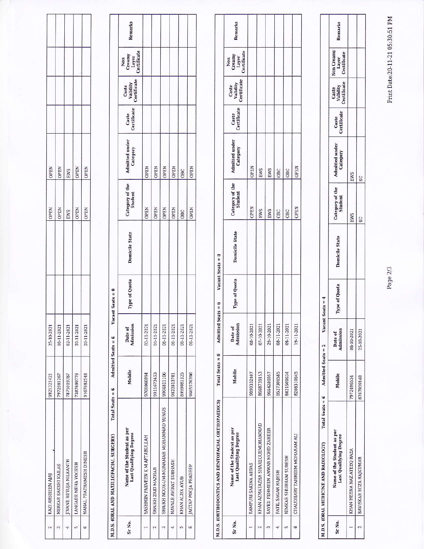| KAZI ARSHEEN AJAJ             | 9921321421 | 25-10-2021 | <b>OPEN</b> | <b>OPEN</b> |  |
|-------------------------------|------------|------------|-------------|-------------|--|
| NERKAR SAKSHI KAILAS          | 7972981267 | 08-11-2021 | <b>OPEN</b> | <b>OPEN</b> |  |
| <b>JIVANE RUTUJA NILKANTH</b> | 7875019387 | 02-11-2021 | EWS         | EWS         |  |
| LANGADE NEHA YOGESH           | 7387699776 | 20-11-2021 | <b>OPEN</b> | <b>OPEN</b> |  |
| NANAL PRATHAMESH DINESH       | 9167682548 | 20-11-2021 | <b>OPEN</b> | <b>OPEN</b> |  |

|        | Total Seats $= 6$<br>M.D.S. (ORAL AND MAXILLOFACIAL SURGERY) | Admitted Seats = 6 |                      | acant Seats = 0 |                       |                            |                            |                      |                                  |                                       |         |
|--------|--------------------------------------------------------------|--------------------|----------------------|-----------------|-----------------------|----------------------------|----------------------------|----------------------|----------------------------------|---------------------------------------|---------|
| Sr No. | Name of the Student as per<br>Last Qualifying Degree         | Mobile             | Admission<br>Date of | Type of Quota   | <b>Domicile State</b> | Category of the<br>Student | Admitted under<br>Category | Caste<br>Certificate | Caste<br>Validity<br>Certificate | Non<br>Creamy<br>Layer<br>Certificate | Remarks |
|        | YASHMIN PARVEEN K M AFTABULLAH                               | 9706060894         | 02-11-2021           |                 |                       | <b>OPEN</b>                | <b>OPEN</b>                |                      |                                  |                                       |         |
|        | SHAIKH ZAID MAZHAR                                           | 9011673453         | 01-11-2021           |                 |                       | <b>OPEN</b>                | <b>OPEN</b>                |                      |                                  |                                       |         |
|        | SHAIKH NOOR-UM-MUNAMAH MOHAMMAD YUNUS                        | 9004811106         | 08-11-2021           |                 |                       | <b>OPEN</b>                | <b>OPEN</b>                |                      |                                  |                                       |         |
|        | NAVALE AVIRAT SUBHASH                                        | 9823813781         | 09-11-2021           |                 |                       | <b>OPEN</b>                | <b>OPEN</b>                |                      |                                  |                                       |         |
|        | KHAN ALIYA AYUB                                              | 8999081325         | 09-11-2021           |                 |                       | OBC                        | <b>OBC</b>                 |                      |                                  |                                       |         |
|        | <b>JAGTAP POOJA PRADEEP</b>                                  | 9665576396         | 09-11-2021           |                 |                       | <b>OPEN</b>                | <b>OPEN</b>                |                      |                                  |                                       |         |

|                  | M.D.S. (ORTHODONTICS AND DENTOFACIAL ORTHOPAEDICS)   | Total Seats $= 6$ | Admitted             | $Seats = 6$   | Vacant Seats = 0      |                 |                                   |                      |                                  |                                       |         |
|------------------|------------------------------------------------------|-------------------|----------------------|---------------|-----------------------|-----------------|-----------------------------------|----------------------|----------------------------------|---------------------------------------|---------|
| Sr <sub>No</sub> | Name of the Student as per<br>Last Qualifying Degree | Mobile            | Admission<br>Date of | Type of Quota | <b>Domicile State</b> | Category of the | <b>Admitted under</b><br>Category | Caste<br>Certificate | Caste<br>Validity<br>Certificate | Non<br>Creamy<br>Layer<br>Certificate | Remarks |
|                  | RAMPURI SAKINA ABBAS                                 | 9890332407        | 08-10-2021           |               |                       | <b>OPEN</b>     | <b>OPEN</b>                       |                      |                                  |                                       |         |
|                  | KHAN AZMATAZHA SHAREQUEMOHAMMAD                      | 8668739153        | 07-10-2021           |               |                       | EWS             | EWS                               |                      |                                  |                                       |         |
|                  | SAYED FEHMEEN ANWAR MOHD ZAHEER                      | 9664280057        | 29-10-2021           |               |                       | EWS             | EWS                               |                      |                                  |                                       |         |
|                  | PATIL SAGAR RAJESH                                   | 9527306585        | 08-11-2021           |               |                       | <b>OBC</b>      | <b>OBC</b>                        |                      |                                  |                                       |         |
|                  | NIMKAR SHUBHAM SURESH                                | 8421509634        | 09-11-2021           |               |                       | OBC             | OBC                               |                      |                                  |                                       |         |
|                  | CHAUDHARY TAHREEM MOHARAM ALI                        | 8208310645        | 19-11-2021           |               |                       | <b>OPEN</b>     | <b>OPEN</b>                       |                      |                                  |                                       |         |
|                  |                                                      |                   |                      |               |                       |                 |                                   |                      |                                  |                                       |         |

|                   | M.D.S. (ORAL MEDICINE AND RADIOLOGY)                        | $Total Seats = 6$ | Admitted Seats $= 2$ |                      | Vacant Seats = /     |                       |                 |                      |                      |                                                               |                     |         |
|-------------------|-------------------------------------------------------------|-------------------|----------------------|----------------------|----------------------|-----------------------|-----------------|----------------------|----------------------|---------------------------------------------------------------|---------------------|---------|
| Sr <sub>No.</sub> | Name of the Student as per<br><b>Last Qualifying Degree</b> |                   | Mobile               | Admission<br>Date of | <b>Type of Quota</b> | <b>Domicile State</b> | Category of the | Admitted under   Ce. | Caste<br>Certificate | Caste Non Creamy<br>Validity Layer<br>Certificate Certificate | Non Creamy<br>Layer | Remarks |
|                   | KHAN HEENA NAZ ATEEQ RAZA                                   |                   | 7972496534           | 08-10-2021           |                      |                       | EWS             | <b>EWS</b>           |                      |                                                               |                     |         |
|                   | BAVISKAR ROZA RAJKUMAR                                      |                   | 8767939148           | 25-10-2021           |                      |                       | SC              | SC                   |                      |                                                               |                     |         |

Print Date:20-11-21 05:30:51 PM

Page 2/3